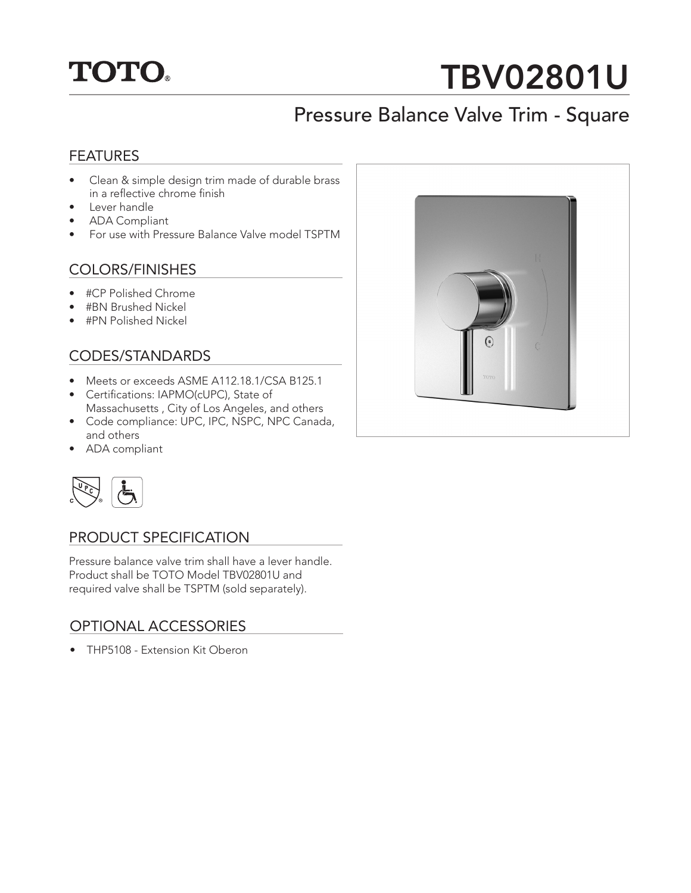

# TBV02801U

## Pressure Balance Valve Trim - Square

#### **FEATURES**

- Clean & simple design trim made of durable brass in a reflective chrome finish
- Lever handle
- ADA Compliant
- For use with Pressure Balance Valve model TSPTM

#### COLORS/FINISHES

- #CP Polished Chrome
- #BN Brushed Nickel
- #PN Polished Nickel

#### CODES/STANDARDS

- Meets or exceeds ASME A112.18.1/CSA B125.1
- Certifications: IAPMO(cUPC), State of Massachusetts , City of Los Angeles, and others
- Code compliance: UPC, IPC, NSPC, NPC Canada, and others
- ADA compliant



#### PRODUCT SPECIFICATION

Pressure balance valve trim shall have a lever handle. Product shall be TOTO Model TBV02801U and required valve shall be TSPTM (sold separately).

#### OPTIONAL ACCESSORIES

• THP5108 - Extension Kit Oberon